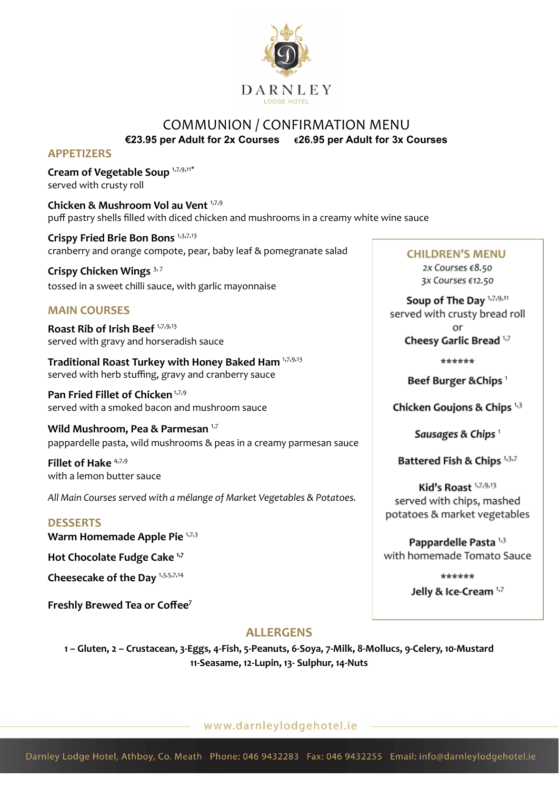

## COMMUNION / CONFIRMATION MENU **€23.95 per Adult for 2x Courses €26.95 per Adult for 3x Courses**

#### **APPETIZERS**

**Cream of Vegetable Soup** 1,7,9,11\* served with crusty roll

**Chicken & Mushroom Vol au Vent** 1,7,9 puff pastry shells filled with diced chicken and mushrooms in a creamy white wine sauce

**Crispy Fried Brie Bon Bons** 1,3,7,13 cranberry and orange compote, pear, baby leaf & pomegranate salad

**Crispy Chicken Wings** 3, <sup>7</sup> tossed in a sweet chilli sauce, with garlic mayonnaise

### **MAIN COURSES**

**Roast Rib of Irish Beef** 1,7,9,13 served with gravy and horseradish sauce

**Traditional Roast Turkey with Honey Baked Ham** 1,7,9,13 served with herb stuffing, gravy and cranberry sauce

**Pan Fried Fillet of Chicken** 1,7,9 served with a smoked bacon and mushroom sauce

**Wild Mushroom, Pea & Parmesan** 1,7 pappardelle pasta, wild mushrooms & peas in a creamy parmesan sauce

**Fillet of Hake** 4,7,9 with a lemon butter sauce

*All Main Courses served with a mélange of Market Vegetables & Potatoes.*

#### **DESSERTS**

**Warm Homemade Apple Pie** 1,7,3

**Hot Chocolate Fudge Cake 1,7**

**Cheesecake of the Day** 1,3,5,7,14

**Freshly Brewed Tea or Coffee<sup>7</sup>**

# **ALLERGENS**

**1 – Gluten, 2 – Crustacean, 3-Eggs, 4-Fish, 5-Peanuts, 6-Soya, 7-Milk, 8-Mollucs, 9-Celery, 10-Mustard 11-Seasame, 12-Lupin, 13- Sulphur, 14-Nuts**

## www.darnleylodgehotel.ie

**CHILDREN'S MENU** 

2x Courses €8.50 3x Courses €12.50

Soup of The Day 1,7,9,11 served with crusty bread roll

> o۳ Cheesy Garlic Bread 1,7

> > \*\*\*\*\*\*

Beef Burger & Chips<sup>1</sup>

Chicken Goujons & Chips 1,3

Sausages & Chips<sup>1</sup>

Battered Fish & Chips 1,3,7

Kid's Roast 1,7,9,13 served with chips, mashed potatoes & market vegetables

Pappardelle Pasta<sup>1,3</sup> with homemade Tomato Sauce

> \*\*\*\*\*\* Jelly & Ice-Cream 1,7